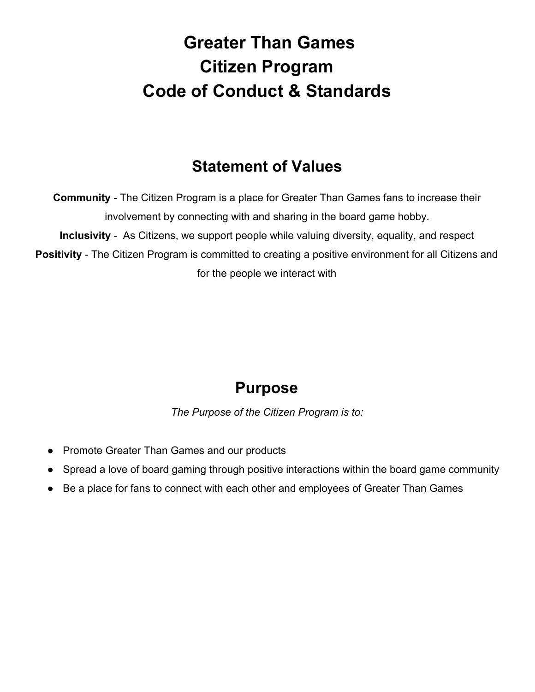# **Greater Than Games Citizen Program Code of Conduct & Standards**

#### **Statement of Values**

**Community** - The Citizen Program is a place for Greater Than Games fans to increase their involvement by connecting with and sharing in the board game hobby. **Inclusivity** - As Citizens, we support people while valuing diversity, equality, and respect **Positivity** - The Citizen Program is committed to creating a positive environment for all Citizens and for the people we interact with

#### **Purpose**

*The Purpose of the Citizen Program is to:*

- Promote Greater Than Games and our products
- Spread a love of board gaming through positive interactions within the board game community
- Be a place for fans to connect with each other and employees of Greater Than Games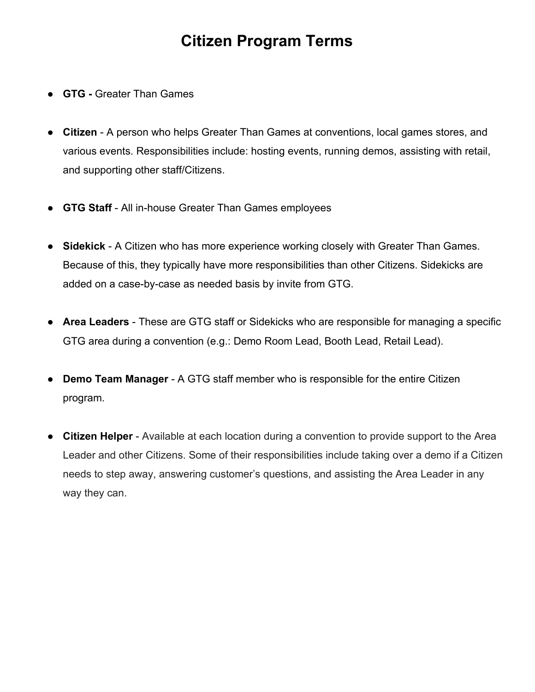#### **Citizen Program Terms**

- **GTG Greater Than Games**
- **Citizen**  A person who helps Greater Than Games at conventions, local games stores, and various events. Responsibilities include: hosting events, running demos, assisting with retail, and supporting other staff/Citizens.
- **GTG Staff**  All in-house Greater Than Games employees
- **Sidekick** A Citizen who has more experience working closely with Greater Than Games. Because of this, they typically have more responsibilities than other Citizens. Sidekicks are added on a case-by-case as needed basis by invite from GTG.
- **Area Leaders**  These are GTG staff or Sidekicks who are responsible for managing a specific GTG area during a convention (e.g.: Demo Room Lead, Booth Lead, Retail Lead).
- **Demo Team Manager** A GTG staff member who is responsible for the entire Citizen program.
- **Citizen Helper** Available at each location during a convention to provide support to the Area Leader and other Citizens. Some of their responsibilities include taking over a demo if a Citizen needs to step away, answering customer's questions, and assisting the Area Leader in any way they can.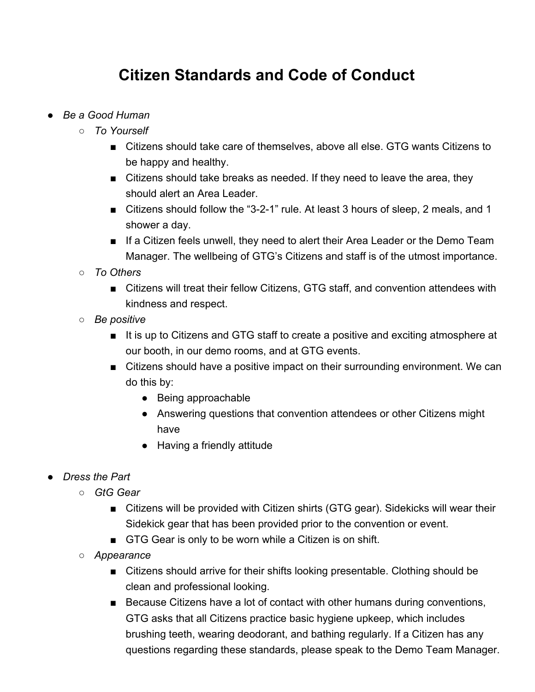## **Citizen Standards and Code of Conduct**

- *● Be a Good Human*
	- *○ To Yourself*
		- Citizens should take care of themselves, above all else. GTG wants Citizens to be happy and healthy.
		- Citizens should take breaks as needed. If they need to leave the area, they should alert an Area Leader.
		- Citizens should follow the "3-2-1" rule. At least 3 hours of sleep, 2 meals, and 1 shower a day.
		- If a Citizen feels unwell, they need to alert their Area Leader or the Demo Team Manager. The wellbeing of GTG's Citizens and staff is of the utmost importance.
	- *○ To Others*
		- Citizens will treat their fellow Citizens, GTG staff, and convention attendees with kindness and respect.
	- *○ Be positive*
		- It is up to Citizens and GTG staff to create a positive and exciting atmosphere at our booth, in our demo rooms, and at GTG events.
		- Citizens should have a positive impact on their surrounding environment. We can do this by:
			- Being approachable
			- Answering questions that convention attendees or other Citizens might have
			- Having a friendly attitude
- *● Dress the Part*
	- *○ GtG Gear*
		- Citizens will be provided with Citizen shirts (GTG gear). Sidekicks will wear their Sidekick gear that has been provided prior to the convention or event.
		- GTG Gear is only to be worn while a Citizen is on shift.
	- *○ Appearance*
		- Citizens should arrive for their shifts looking presentable. Clothing should be clean and professional looking.
		- Because Citizens have a lot of contact with other humans during conventions, GTG asks that all Citizens practice basic hygiene upkeep, which includes brushing teeth, wearing deodorant, and bathing regularly. If a Citizen has any questions regarding these standards, please speak to the Demo Team Manager.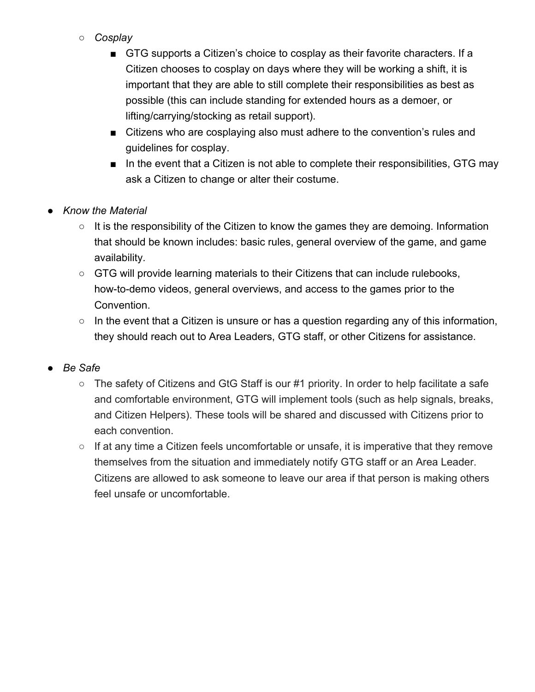- *○ Cosplay*
	- GTG supports a Citizen's choice to cosplay as their favorite characters. If a Citizen chooses to cosplay on days where they will be working a shift, it is important that they are able to still complete their responsibilities as best as possible (this can include standing for extended hours as a demoer, or lifting/carrying/stocking as retail support).
	- Citizens who are cosplaying also must adhere to the convention's rules and guidelines for cosplay.
	- In the event that a Citizen is not able to complete their responsibilities, GTG may ask a Citizen to change or alter their costume.
- *● Know the Material*
	- It is the responsibility of the Citizen to know the games they are demoing. Information that should be known includes: basic rules, general overview of the game, and game availability.
	- GTG will provide learning materials to their Citizens that can include rulebooks, how-to-demo videos, general overviews, and access to the games prior to the Convention.
	- $\circ$  In the event that a Citizen is unsure or has a question regarding any of this information, they should reach out to Area Leaders, GTG staff, or other Citizens for assistance.
- *● Be Safe*
	- The safety of Citizens and GtG Staff is our #1 priority. In order to help facilitate a safe and comfortable environment, GTG will implement tools (such as help signals, breaks, and Citizen Helpers). These tools will be shared and discussed with Citizens prior to each convention.
	- If at any time a Citizen feels uncomfortable or unsafe, it is imperative that they remove themselves from the situation and immediately notify GTG staff or an Area Leader. Citizens are allowed to ask someone to leave our area if that person is making others feel unsafe or uncomfortable.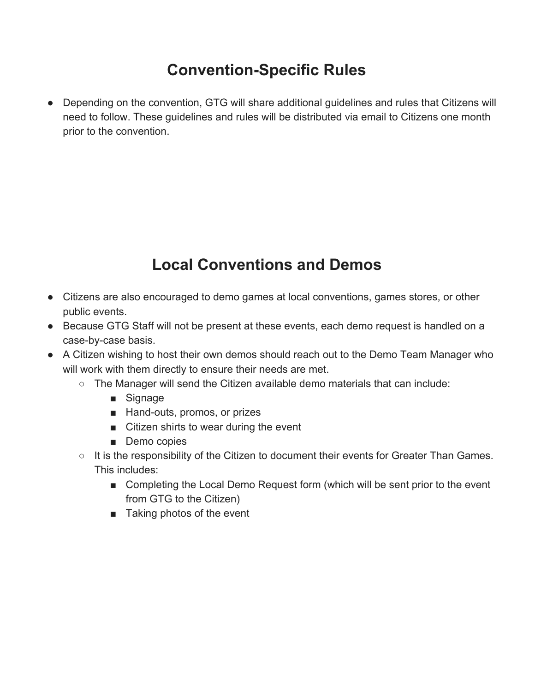# **Convention-Specific Rules**

● Depending on the convention, GTG will share additional guidelines and rules that Citizens will need to follow. These guidelines and rules will be distributed via email to Citizens one month prior to the convention.

# **Local Conventions and Demos**

- Citizens are also encouraged to demo games at local conventions, games stores, or other public events.
- Because GTG Staff will not be present at these events, each demo request is handled on a case-by-case basis.
- A Citizen wishing to host their own demos should reach out to the Demo Team Manager who will work with them directly to ensure their needs are met.
	- The Manager will send the Citizen available demo materials that can include:
		- Signage
		- Hand-outs, promos, or prizes
		- Citizen shirts to wear during the event
		- Demo copies
	- It is the responsibility of the Citizen to document their events for Greater Than Games. This includes:
		- Completing the Local Demo Request form (which will be sent prior to the event from GTG to the Citizen)
		- Taking photos of the event